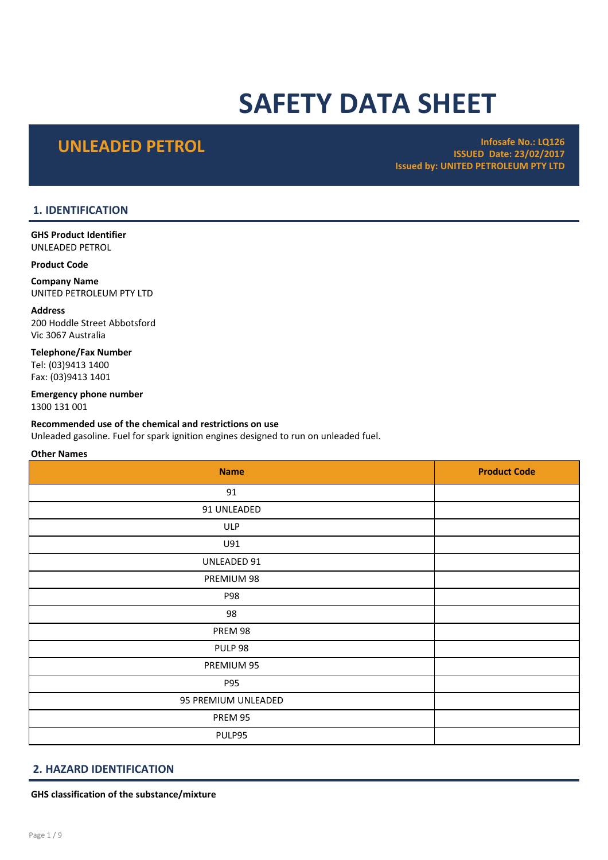# SAFETY DATA SHEET

UNLEADED PETROL **Infosafe No.: LQ126** ISSUED Date: 23/02/2017 Issued by: UNITED PETROLEUM PTY LTD

# 1. IDENTIFICATION

#### GHS Product Identifier UNLEADED PETROL

#### Product Code

#### Company Name UNITED PETROLEUM PTY LTD

### Address

200 Hoddle Street Abbotsford Vic 3067 Australia

#### Telephone/Fax Number

Tel: (03)9413 1400 Fax: (03)9413 1401

#### Emergency phone number 1300 131 001

# Recommended use of the chemical and restrictions on use

Unleaded gasoline. Fuel for spark ignition engines designed to run on unleaded fuel.

### Other Names

| <b>Name</b>         | <b>Product Code</b> |
|---------------------|---------------------|
| 91                  |                     |
| 91 UNLEADED         |                     |
| <b>ULP</b>          |                     |
| U91                 |                     |
| <b>UNLEADED 91</b>  |                     |
| PREMIUM 98          |                     |
| P98                 |                     |
| 98                  |                     |
| PREM 98             |                     |
| <b>PULP 98</b>      |                     |
| PREMIUM 95          |                     |
| P95                 |                     |
| 95 PREMIUM UNLEADED |                     |
| PREM 95             |                     |
| PULP95              |                     |

# 2. HAZARD IDENTIFICATION

GHS classification of the substance/mixture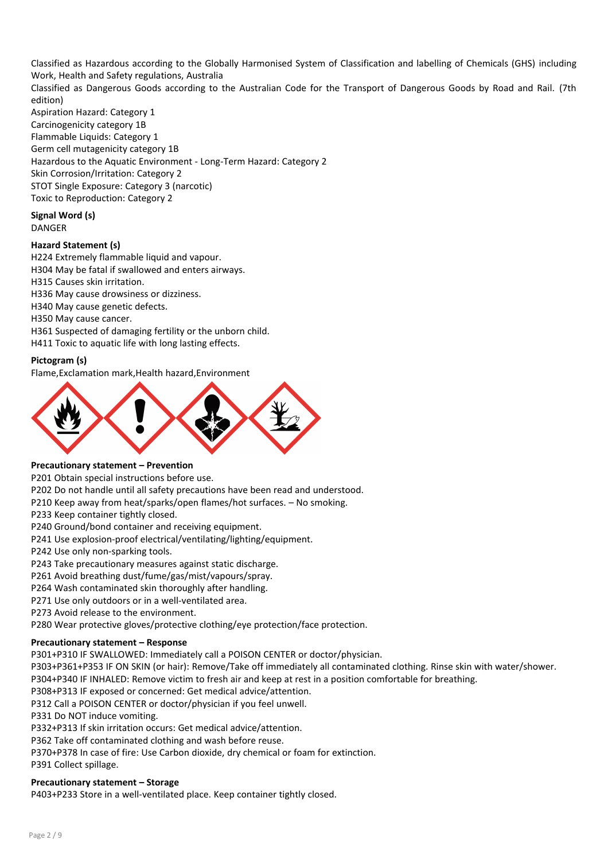Classified as Hazardous according to the Globally Harmonised System of Classification and labelling of Chemicals (GHS) including Work, Health and Safety regulations, Australia

Classified as Dangerous Goods according to the Australian Code for the Transport of Dangerous Goods by Road and Rail. (7th edition)

Aspiration Hazard: Category 1 Carcinogenicity category 1B Flammable Liquids: Category 1 Germ cell mutagenicity category 1B Hazardous to the Aquatic Environment - Long-Term Hazard: Category 2 Skin Corrosion/Irritation: Category 2 STOT Single Exposure: Category 3 (narcotic) Toxic to Reproduction: Category 2

Signal Word (s) DANGER

# Hazard Statement (s)

H224 Extremely flammable liquid and vapour. H304 May be fatal if swallowed and enters airways. H315 Causes skin irritation. H336 May cause drowsiness or dizziness. H340 May cause genetic defects. H350 May cause cancer. H361 Suspected of damaging fertility or the unborn child. H411 Toxic to aquatic life with long lasting effects.

### Pictogram (s)

Flame,Exclamation mark,Health hazard,Environment



# Precautionary statement – Prevention

- P201 Obtain special instructions before use.
- P202 Do not handle until all safety precautions have been read and understood.
- P210 Keep away from heat/sparks/open flames/hot surfaces. No smoking.
- P233 Keep container tightly closed.
- P240 Ground/bond container and receiving equipment.
- P241 Use explosion-proof electrical/ventilating/lighting/equipment.
- P242 Use only non-sparking tools.
- P243 Take precautionary measures against static discharge.
- P261 Avoid breathing dust/fume/gas/mist/vapours/spray.
- P264 Wash contaminated skin thoroughly after handling.
- P271 Use only outdoors or in a well-ventilated area.
- P273 Avoid release to the environment.

P280 Wear protective gloves/protective clothing/eye protection/face protection.

#### Precautionary statement – Response

P301+P310 IF SWALLOWED: Immediately call a POISON CENTER or doctor/physician.

P303+P361+P353 IF ON SKIN (or hair): Remove/Take off immediately all contaminated clothing. Rinse skin with water/shower. P304+P340 IF INHALED: Remove victim to fresh air and keep at rest in a position comfortable for breathing.

P308+P313 IF exposed or concerned: Get medical advice/attention.

P312 Call a POISON CENTER or doctor/physician if you feel unwell.

P331 Do NOT induce vomiting.

P332+P313 If skin irritation occurs: Get medical advice/attention.

P362 Take off contaminated clothing and wash before reuse.

P370+P378 In case of fire: Use Carbon dioxide, dry chemical or foam for extinction.

P391 Collect spillage.

#### Precautionary statement – Storage

P403+P233 Store in a well-ventilated place. Keep container tightly closed.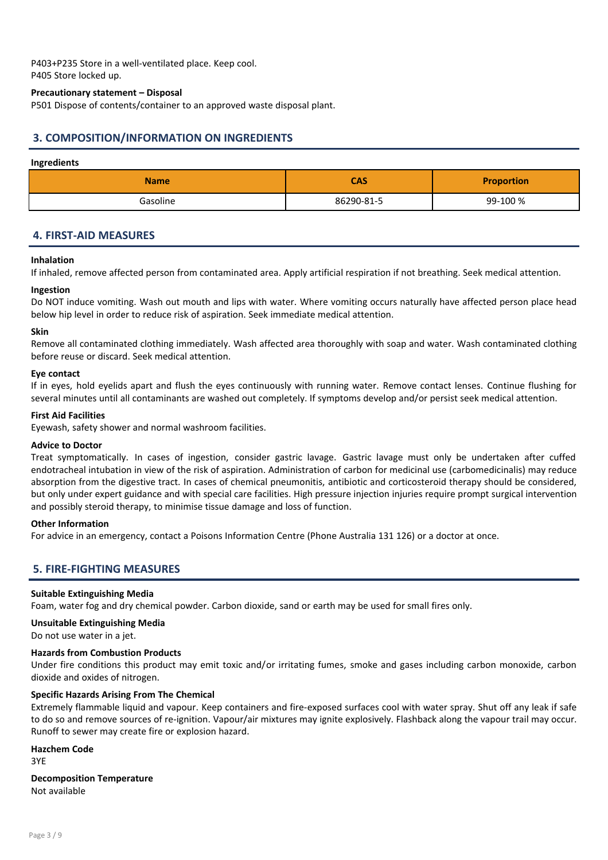P403+P235 Store in a well-ventilated place. Keep cool. P405 Store locked up.

#### Precautionary statement – Disposal

P501 Dispose of contents/container to an approved waste disposal plant.

# 3. COMPOSITION/INFORMATION ON INGREDIENTS

#### Ingredients

| <b>Name</b> | <b>CAS</b> | <b>Proportion</b> |
|-------------|------------|-------------------|
| Gasoline    | 86290-81-5 | 99-100 %          |

### 4. FIRST-AID MEASURES

#### Inhalation

If inhaled, remove affected person from contaminated area. Apply artificial respiration if not breathing. Seek medical attention.

#### Ingestion

Do NOT induce vomiting. Wash out mouth and lips with water. Where vomiting occurs naturally have affected person place head below hip level in order to reduce risk of aspiration. Seek immediate medical attention.

#### Skin

Remove all contaminated clothing immediately. Wash affected area thoroughly with soap and water. Wash contaminated clothing before reuse or discard. Seek medical attention.

#### Eye contact

If in eyes, hold eyelids apart and flush the eyes continuously with running water. Remove contact lenses. Continue flushing for several minutes until all contaminants are washed out completely. If symptoms develop and/or persist seek medical attention.

#### First Aid Facilities

Eyewash, safety shower and normal washroom facilities.

#### Advice to Doctor

Treat symptomatically. In cases of ingestion, consider gastric lavage. Gastric lavage must only be undertaken after cuffed endotracheal intubation in view of the risk of aspiration. Administration of carbon for medicinal use (carbomedicinalis) may reduce absorption from the digestive tract. In cases of chemical pneumonitis, antibiotic and corticosteroid therapy should be considered, but only under expert guidance and with special care facilities. High pressure injection injuries require prompt surgical intervention and possibly steroid therapy, to minimise tissue damage and loss of function.

#### Other Information

For advice in an emergency, contact a Poisons Information Centre (Phone Australia 131 126) or a doctor at once.

# 5. FIRE-FIGHTING MEASURES

#### Suitable Extinguishing Media

Foam, water fog and dry chemical powder. Carbon dioxide, sand or earth may be used for small fires only.

#### Unsuitable Extinguishing Media

Do not use water in a jet.

#### Hazards from Combustion Products

Under fire conditions this product may emit toxic and/or irritating fumes, smoke and gases including carbon monoxide, carbon dioxide and oxides of nitrogen.

#### Specific Hazards Arising From The Chemical

Extremely flammable liquid and vapour. Keep containers and fire-exposed surfaces cool with water spray. Shut off any leak if safe to do so and remove sources of re-ignition. Vapour/air mixtures may ignite explosively. Flashback along the vapour trail may occur. Runoff to sewer may create fire or explosion hazard.

# Hazchem Code

3YE

# Decomposition Temperature

Not available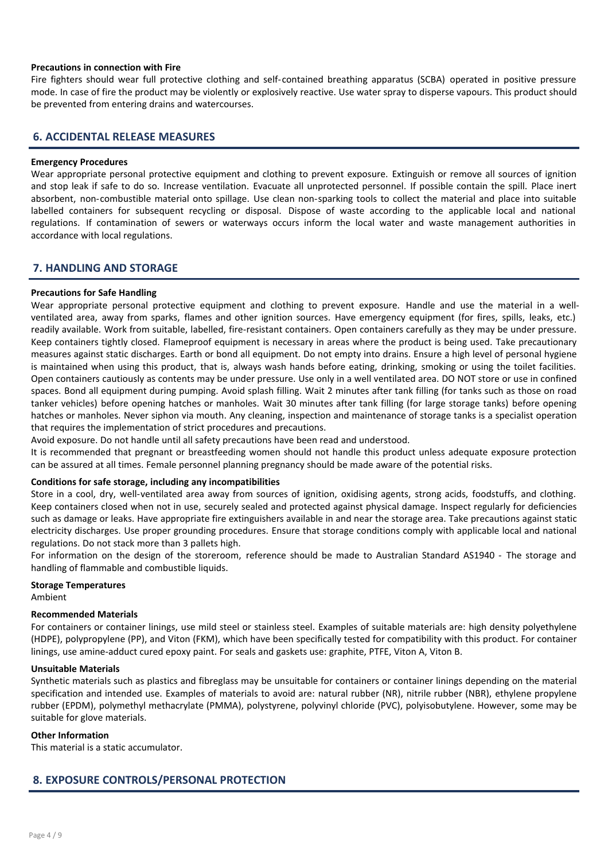#### Precautions in connection with Fire

Fire fighters should wear full protective clothing and self-contained breathing apparatus (SCBA) operated in positive pressure mode. In case of fire the product may be violently or explosively reactive. Use water spray to disperse vapours. This product should be prevented from entering drains and watercourses.

# 6. ACCIDENTAL RELEASE MEASURES

#### Emergency Procedures

Wear appropriate personal protective equipment and clothing to prevent exposure. Extinguish or remove all sources of ignition and stop leak if safe to do so. Increase ventilation. Evacuate all unprotected personnel. If possible contain the spill. Place inert absorbent, non-combustible material onto spillage. Use clean non-sparking tools to collect the material and place into suitable labelled containers for subsequent recycling or disposal. Dispose of waste according to the applicable local and national regulations. If contamination of sewers or waterways occurs inform the local water and waste management authorities in accordance with local regulations.

# 7. HANDLING AND STORAGE

#### Precautions for Safe Handling

Wear appropriate personal protective equipment and clothing to prevent exposure. Handle and use the material in a wellventilated area, away from sparks, flames and other ignition sources. Have emergency equipment (for fires, spills, leaks, etc.) readily available. Work from suitable, labelled, fire-resistant containers. Open containers carefully as they may be under pressure. Keep containers tightly closed. Flameproof equipment is necessary in areas where the product is being used. Take precautionary measures against static discharges. Earth or bond all equipment. Do not empty into drains. Ensure a high level of personal hygiene is maintained when using this product, that is, always wash hands before eating, drinking, smoking or using the toilet facilities. Open containers cautiously as contents may be under pressure. Use only in a well ventilated area. DO NOT store or use in confined spaces. Bond all equipment during pumping. Avoid splash filling. Wait 2 minutes after tank filling (for tanks such as those on road tanker vehicles) before opening hatches or manholes. Wait 30 minutes after tank filling (for large storage tanks) before opening hatches or manholes. Never siphon via mouth. Any cleaning, inspection and maintenance of storage tanks is a specialist operation that requires the implementation of strict procedures and precautions.

Avoid exposure. Do not handle until all safety precautions have been read and understood.

It is recommended that pregnant or breastfeeding women should not handle this product unless adequate exposure protection can be assured at all times. Female personnel planning pregnancy should be made aware of the potential risks.

#### Conditions for safe storage, including any incompatibilities

Store in a cool, dry, well-ventilated area away from sources of ignition, oxidising agents, strong acids, foodstuffs, and clothing. Keep containers closed when not in use, securely sealed and protected against physical damage. Inspect regularly for deficiencies such as damage or leaks. Have appropriate fire extinguishers available in and near the storage area. Take precautions against static electricity discharges. Use proper grounding procedures. Ensure that storage conditions comply with applicable local and national regulations. Do not stack more than 3 pallets high.

For information on the design of the storeroom, reference should be made to Australian Standard AS1940 - The storage and handling of flammable and combustible liquids.

#### Storage Temperatures

Ambient

#### Recommended Materials

For containers or container linings, use mild steel or stainless steel. Examples of suitable materials are: high density polyethylene (HDPE), polypropylene (PP), and Viton (FKM), which have been specifically tested for compatibility with this product. For container linings, use amine-adduct cured epoxy paint. For seals and gaskets use: graphite, PTFE, Viton A, Viton B.

#### Unsuitable Materials

Synthetic materials such as plastics and fibreglass may be unsuitable for containers or container linings depending on the material specification and intended use. Examples of materials to avoid are: natural rubber (NR), nitrile rubber (NBR), ethylene propylene rubber (EPDM), polymethyl methacrylate (PMMA), polystyrene, polyvinyl chloride (PVC), polyisobutylene. However, some may be suitable for glove materials.

#### Other Information

This material is a static accumulator.

# 8. EXPOSURE CONTROLS/PERSONAL PROTECTION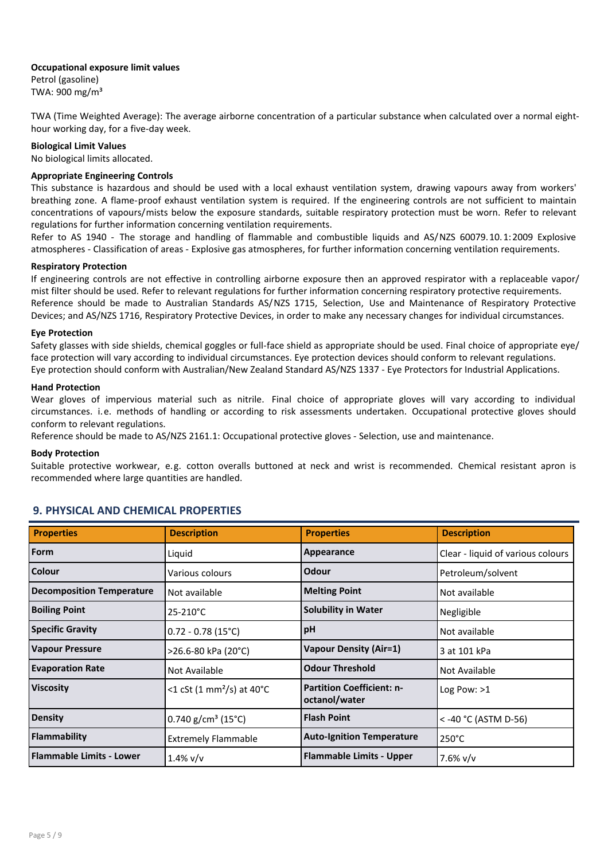#### Occupational exposure limit values

Petrol (gasoline) TWA: 900 mg/m³

TWA (Time Weighted Average): The average airborne concentration of a particular substance when calculated over a normal eighthour working day, for a five-day week.

### Biological Limit Values

No biological limits allocated.

#### Appropriate Engineering Controls

This substance is hazardous and should be used with a local exhaust ventilation system, drawing vapours away from workers' breathing zone. A flame-proof exhaust ventilation system is required. If the engineering controls are not sufficient to maintain concentrations of vapours/mists below the exposure standards, suitable respiratory protection must be worn. Refer to relevant regulations for further information concerning ventilation requirements.

Refer to AS 1940 - The storage and handling of flammable and combustible liquids and AS/NZS 60079.10.1:2009 Explosive atmospheres - Classification of areas - Explosive gas atmospheres, for further information concerning ventilation requirements.

#### Respiratory Protection

If engineering controls are not effective in controlling airborne exposure then an approved respirator with a replaceable vapor/ mist filter should be used. Refer to relevant regulations for further information concerning respiratory protective requirements. Reference should be made to Australian Standards AS/NZS 1715, Selection, Use and Maintenance of Respiratory Protective Devices; and AS/NZS 1716, Respiratory Protective Devices, in order to make any necessary changes for individual circumstances.

#### Eye Protection

Safety glasses with side shields, chemical goggles or full-face shield as appropriate should be used. Final choice of appropriate eye/ face protection will vary according to individual circumstances. Eye protection devices should conform to relevant regulations. Eye protection should conform with Australian/New Zealand Standard AS/NZS 1337 - Eye Protectors for Industrial Applications.

#### Hand Protection

Wear gloves of impervious material such as nitrile. Final choice of appropriate gloves will vary according to individual circumstances. i.e. methods of handling or according to risk assessments undertaken. Occupational protective gloves should conform to relevant regulations.

Reference should be made to AS/NZS 2161.1: Occupational protective gloves - Selection, use and maintenance.

#### Body Protection

Suitable protective workwear, e.g. cotton overalls buttoned at neck and wrist is recommended. Chemical resistant apron is recommended where large quantities are handled.

| <b>Properties</b>                | <b>Description</b>                                  | <b>Properties</b>                                 | <b>Description</b>                |
|----------------------------------|-----------------------------------------------------|---------------------------------------------------|-----------------------------------|
| Form                             | Liquid                                              | Appearance                                        | Clear - liquid of various colours |
| <b>Colour</b>                    | Various colours                                     | Odour                                             | Petroleum/solvent                 |
| <b>Decomposition Temperature</b> | Not available                                       | <b>Melting Point</b>                              | Not available                     |
| <b>Boiling Point</b>             | $25 - 210^{\circ}C$                                 | <b>Solubility in Water</b>                        | Negligible                        |
| <b>Specific Gravity</b>          | $0.72 - 0.78$ (15°C)                                | pH                                                | Not available                     |
| <b>Vapour Pressure</b>           | >26.6-80 kPa (20°C)                                 | <b>Vapour Density (Air=1)</b>                     | 3 at 101 kPa                      |
| <b>Evaporation Rate</b>          | Not Available                                       | <b>Odour Threshold</b>                            | Not Available                     |
| <b>Viscosity</b>                 | $<$ 1 cSt (1 mm <sup>2</sup> /s) at 40 $^{\circ}$ C | <b>Partition Coefficient: n-</b><br>octanol/water | Log Pow: >1                       |
| <b>Density</b>                   | $0.740$ g/cm <sup>3</sup> (15°C)                    | <b>Flash Point</b>                                | < -40 °C (ASTM D-56)              |
| Flammability                     | <b>Extremely Flammable</b>                          | <b>Auto-Ignition Temperature</b>                  | $250^{\circ}$ C                   |
| <b>Flammable Limits - Lower</b>  | $1.4\%$ v/v                                         | <b>Flammable Limits - Upper</b>                   | 7.6% $v/v$                        |

# 9. PHYSICAL AND CHEMICAL PROPERTIES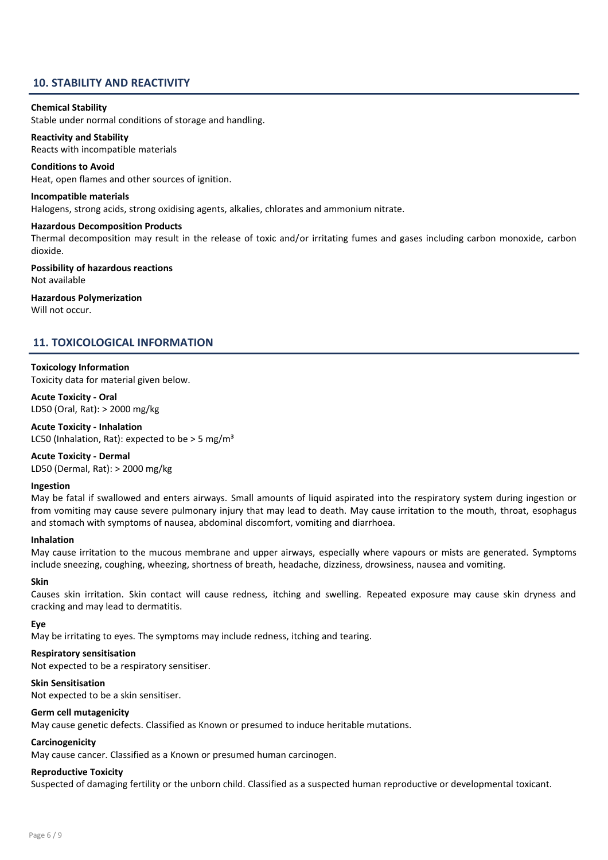# 10. STABILITY AND REACTIVITY

#### Chemical Stability

Stable under normal conditions of storage and handling.

#### Reactivity and Stability Reacts with incompatible materials

Conditions to Avoid

Heat, open flames and other sources of ignition.

#### Incompatible materials

Halogens, strong acids, strong oxidising agents, alkalies, chlorates and ammonium nitrate.

#### Hazardous Decomposition Products

Thermal decomposition may result in the release of toxic and/or irritating fumes and gases including carbon monoxide, carbon dioxide.

Possibility of hazardous reactions Not available

# Hazardous Polymerization

Will not occur.

### 11. TOXICOLOGICAL INFORMATION

#### Toxicology Information

Toxicity data for material given below.

Acute Toxicity - Oral LD50 (Oral, Rat): > 2000 mg/kg

Acute Toxicity - Inhalation LC50 (Inhalation, Rat): expected to be  $>$  5 mg/m<sup>3</sup>

#### Acute Toxicity - Dermal

LD50 (Dermal, Rat): > 2000 mg/kg

#### Ingestion

May be fatal if swallowed and enters airways. Small amounts of liquid aspirated into the respiratory system during ingestion or from vomiting may cause severe pulmonary injury that may lead to death. May cause irritation to the mouth, throat, esophagus and stomach with symptoms of nausea, abdominal discomfort, vomiting and diarrhoea.

#### Inhalation

May cause irritation to the mucous membrane and upper airways, especially where vapours or mists are generated. Symptoms include sneezing, coughing, wheezing, shortness of breath, headache, dizziness, drowsiness, nausea and vomiting.

#### Skin

Causes skin irritation. Skin contact will cause redness, itching and swelling. Repeated exposure may cause skin dryness and cracking and may lead to dermatitis.

#### Eye

May be irritating to eyes. The symptoms may include redness, itching and tearing.

#### Respiratory sensitisation

Not expected to be a respiratory sensitiser.

#### Skin Sensitisation

Not expected to be a skin sensitiser.

#### Germ cell mutagenicity

May cause genetic defects. Classified as Known or presumed to induce heritable mutations.

#### Carcinogenicity

May cause cancer. Classified as a Known or presumed human carcinogen.

# Reproductive Toxicity

Suspected of damaging fertility or the unborn child. Classified as a suspected human reproductive or developmental toxicant.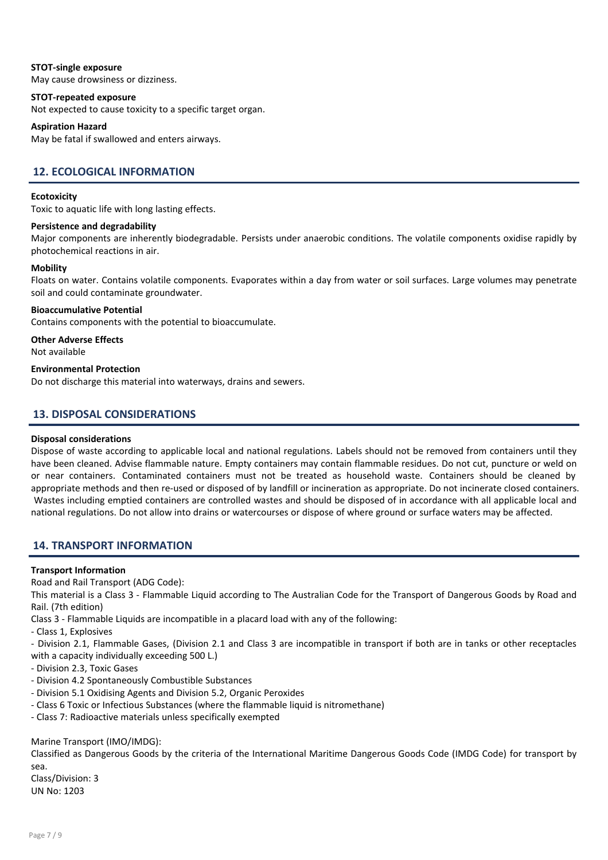# STOT-single exposure

May cause drowsiness or dizziness.

#### STOT-repeated exposure

Not expected to cause toxicity to a specific target organ.

#### Aspiration Hazard

May be fatal if swallowed and enters airways.

# 12. ECOLOGICAL INFORMATION

#### **Ecotoxicity**

Toxic to aquatic life with long lasting effects.

#### Persistence and degradability

Major components are inherently biodegradable. Persists under anaerobic conditions. The volatile components oxidise rapidly by photochemical reactions in air.

#### **Mobility**

Floats on water. Contains volatile components. Evaporates within a day from water or soil surfaces. Large volumes may penetrate soil and could contaminate groundwater.

#### Bioaccumulative Potential

Contains components with the potential to bioaccumulate.

Other Adverse Effects

Not available

#### Environmental Protection

Do not discharge this material into waterways, drains and sewers.

# 13. DISPOSAL CONSIDERATIONS

#### Disposal considerations

Dispose of waste according to applicable local and national regulations. Labels should not be removed from containers until they have been cleaned. Advise flammable nature. Empty containers may contain flammable residues. Do not cut, puncture or weld on or near containers. Contaminated containers must not be treated as household waste. Containers should be cleaned by appropriate methods and then re-used or disposed of by landfill or incineration as appropriate. Do not incinerate closed containers. Wastes including emptied containers are controlled wastes and should be disposed of in accordance with all applicable local and national regulations. Do not allow into drains or watercourses or dispose of where ground or surface waters may be affected.

# 14. TRANSPORT INFORMATION

#### Transport Information

Road and Rail Transport (ADG Code):

This material is a Class 3 - Flammable Liquid according to The Australian Code for the Transport of Dangerous Goods by Road and Rail. (7th edition)

Class 3 - Flammable Liquids are incompatible in a placard load with any of the following:

- Class 1, Explosives

- Division 2.1, Flammable Gases, (Division 2.1 and Class 3 are incompatible in transport if both are in tanks or other receptacles with a capacity individually exceeding 500 L.)

- Division 2.3, Toxic Gases
- Division 4.2 Spontaneously Combustible Substances
- Division 5.1 Oxidising Agents and Division 5.2, Organic Peroxides
- Class 6 Toxic or Infectious Substances (where the flammable liquid is nitromethane)
- Class 7: Radioactive materials unless specifically exempted

#### Marine Transport (IMO/IMDG):

Classified as Dangerous Goods by the criteria of the International Maritime Dangerous Goods Code (IMDG Code) for transport by sea.

Class/Division: 3 UN No: 1203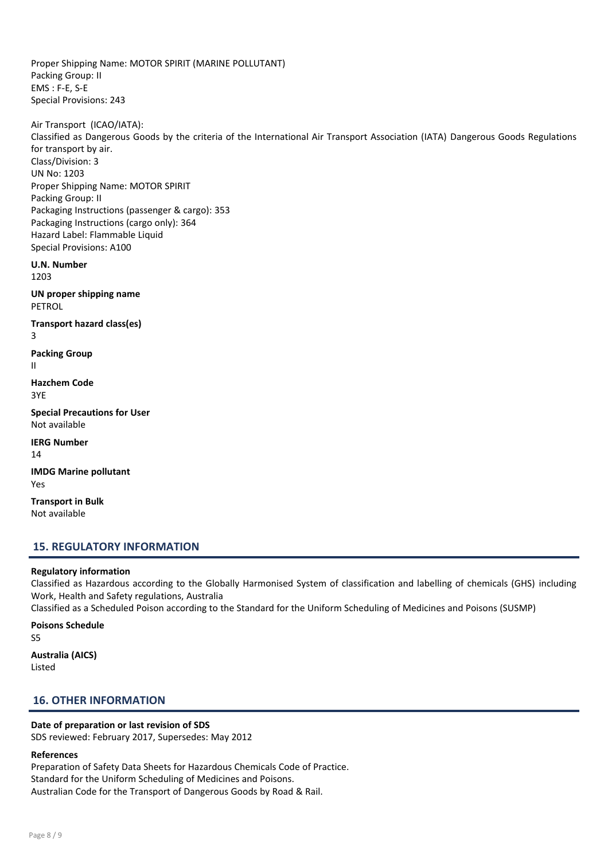Proper Shipping Name: MOTOR SPIRIT (MARINE POLLUTANT) Packing Group: II EMS : F-E, S-E Special Provisions: 243

Air Transport (ICAO/IATA): Classified as Dangerous Goods by the criteria of the International Air Transport Association (IATA) Dangerous Goods Regulations for transport by air. Class/Division: 3 UN No: 1203 Proper Shipping Name: MOTOR SPIRIT Packing Group: II Packaging Instructions (passenger & cargo): 353 Packaging Instructions (cargo only): 364 Hazard Label: Flammable Liquid Special Provisions: A100 U.N. Number 1203 UN proper shipping name PETROL Transport hazard class(es) 3 Packing Group II Hazchem Code 3YE Special Precautions for User Not available IERG Number 14

IMDG Marine pollutant Yes Transport in Bulk

Not available

# 15. REGULATORY INFORMATION

#### Regulatory information

Classified as Hazardous according to the Globally Harmonised System of classification and labelling of chemicals (GHS) including Work, Health and Safety regulations, Australia

Classified as a Scheduled Poison according to the Standard for the Uniform Scheduling of Medicines and Poisons (SUSMP)

Poisons Schedule S5

Australia (AICS) Listed

# 16. OTHER INFORMATION

#### Date of preparation or last revision of SDS

SDS reviewed: February 2017, Supersedes: May 2012

#### References

Preparation of Safety Data Sheets for Hazardous Chemicals Code of Practice. Standard for the Uniform Scheduling of Medicines and Poisons. Australian Code for the Transport of Dangerous Goods by Road & Rail.